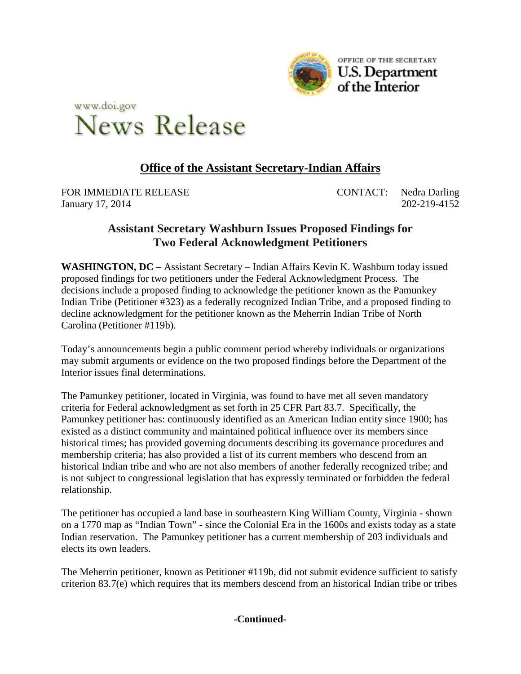



## **Office of the Assistant Secretary-Indian Affairs**

FOR IMMEDIATE RELEASE CONTACT: Nedra Darling January 17, 2014 202-219-4152

## **Assistant Secretary Washburn Issues Proposed Findings for Two Federal Acknowledgment Petitioners**

**WASHINGTON, DC –** Assistant Secretary – Indian Affairs Kevin K. Washburn today issued proposed findings for two petitioners under the Federal Acknowledgment Process. The decisions include a proposed finding to acknowledge the petitioner known as the Pamunkey Indian Tribe (Petitioner #323) as a federally recognized Indian Tribe, and a proposed finding to decline acknowledgment for the petitioner known as the Meherrin Indian Tribe of North Carolina (Petitioner #119b).

Today's announcements begin a public comment period whereby individuals or organizations may submit arguments or evidence on the two proposed findings before the Department of the Interior issues final determinations.

The Pamunkey petitioner, located in Virginia, was found to have met all seven mandatory criteria for Federal acknowledgment as set forth in 25 CFR Part 83.7. Specifically, the Pamunkey petitioner has: continuously identified as an American Indian entity since 1900; has existed as a distinct community and maintained political influence over its members since historical times; has provided governing documents describing its governance procedures and membership criteria; has also provided a list of its current members who descend from an historical Indian tribe and who are not also members of another federally recognized tribe; and is not subject to congressional legislation that has expressly terminated or forbidden the federal relationship.

The petitioner has occupied a land base in southeastern King William County, Virginia - shown on a 1770 map as "Indian Town" - since the Colonial Era in the 1600s and exists today as a state Indian reservation. The Pamunkey petitioner has a current membership of 203 individuals and elects its own leaders.

The Meherrin petitioner, known as Petitioner #119b, did not submit evidence sufficient to satisfy criterion 83.7(e) which requires that its members descend from an historical Indian tribe or tribes

## **-Continued-**